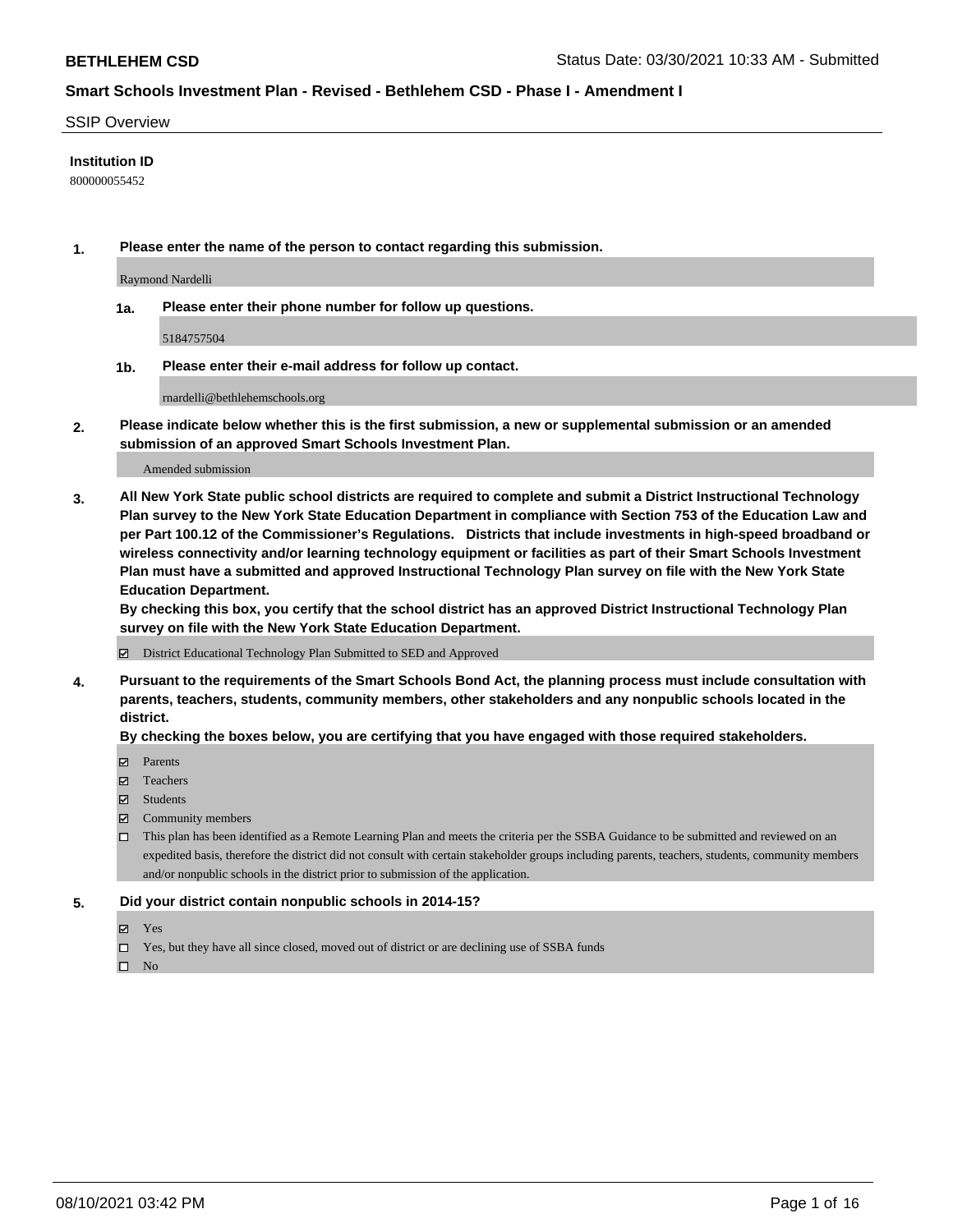#### SSIP Overview

### **Institution ID**

800000055452

**1. Please enter the name of the person to contact regarding this submission.**

Raymond Nardelli

**1a. Please enter their phone number for follow up questions.**

5184757504

**1b. Please enter their e-mail address for follow up contact.**

rnardelli@bethlehemschools.org

**2. Please indicate below whether this is the first submission, a new or supplemental submission or an amended submission of an approved Smart Schools Investment Plan.**

#### Amended submission

**3. All New York State public school districts are required to complete and submit a District Instructional Technology Plan survey to the New York State Education Department in compliance with Section 753 of the Education Law and per Part 100.12 of the Commissioner's Regulations. Districts that include investments in high-speed broadband or wireless connectivity and/or learning technology equipment or facilities as part of their Smart Schools Investment Plan must have a submitted and approved Instructional Technology Plan survey on file with the New York State Education Department.** 

**By checking this box, you certify that the school district has an approved District Instructional Technology Plan survey on file with the New York State Education Department.**

District Educational Technology Plan Submitted to SED and Approved

**4. Pursuant to the requirements of the Smart Schools Bond Act, the planning process must include consultation with parents, teachers, students, community members, other stakeholders and any nonpublic schools located in the district.** 

#### **By checking the boxes below, you are certifying that you have engaged with those required stakeholders.**

- **□** Parents
- Teachers
- Students
- $\boxtimes$  Community members
- This plan has been identified as a Remote Learning Plan and meets the criteria per the SSBA Guidance to be submitted and reviewed on an expedited basis, therefore the district did not consult with certain stakeholder groups including parents, teachers, students, community members and/or nonpublic schools in the district prior to submission of the application.
- **5. Did your district contain nonpublic schools in 2014-15?**
	- Yes
	- □ Yes, but they have all since closed, moved out of district or are declining use of SSBA funds

 $\hfill \square$  No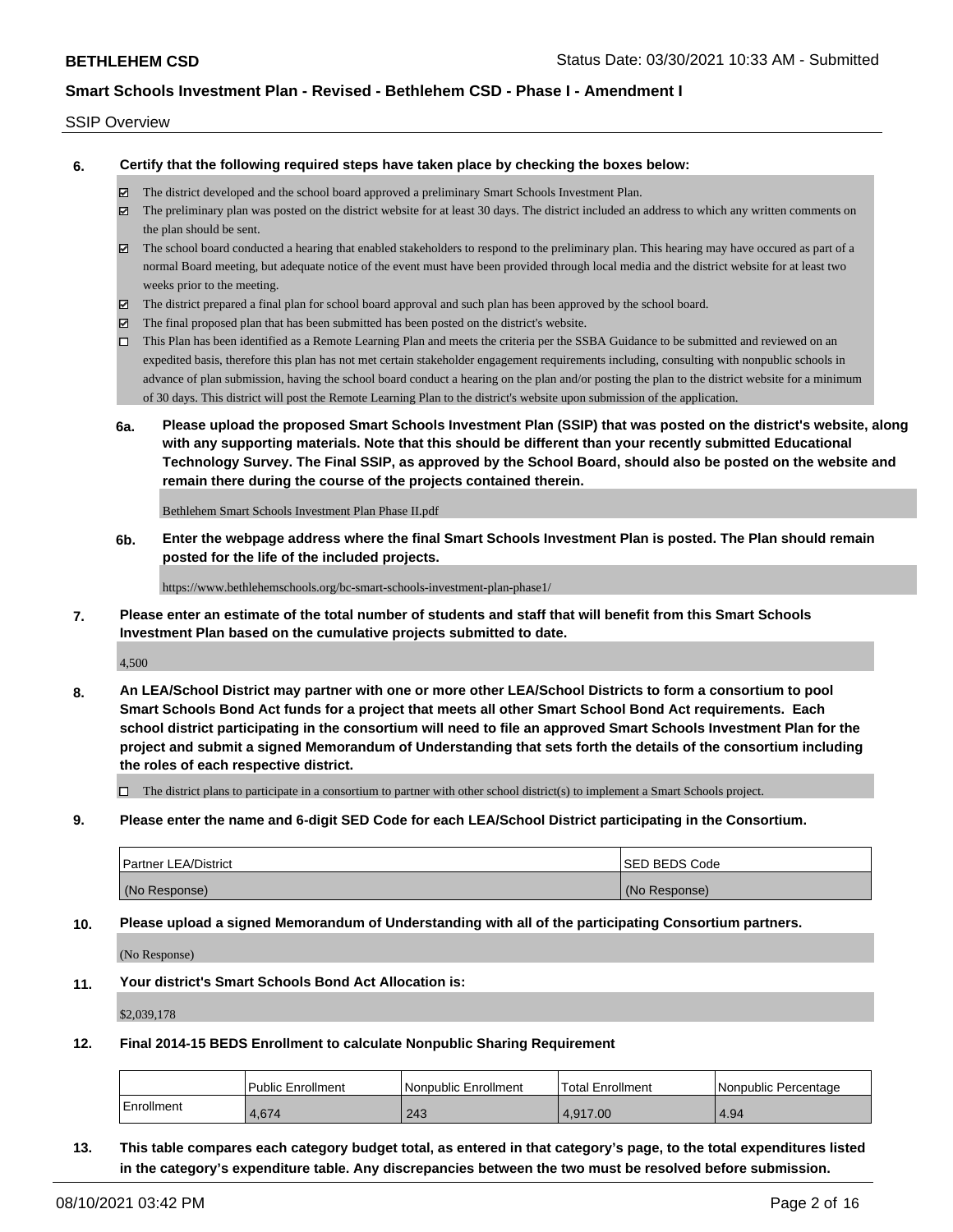#### SSIP Overview

**6. Certify that the following required steps have taken place by checking the boxes below:**

- The district developed and the school board approved a preliminary Smart Schools Investment Plan.
- $\boxtimes$  The preliminary plan was posted on the district website for at least 30 days. The district included an address to which any written comments on the plan should be sent.
- The school board conducted a hearing that enabled stakeholders to respond to the preliminary plan. This hearing may have occured as part of a normal Board meeting, but adequate notice of the event must have been provided through local media and the district website for at least two weeks prior to the meeting.
- The district prepared a final plan for school board approval and such plan has been approved by the school board.
- $\boxtimes$  The final proposed plan that has been submitted has been posted on the district's website.
- This Plan has been identified as a Remote Learning Plan and meets the criteria per the SSBA Guidance to be submitted and reviewed on an expedited basis, therefore this plan has not met certain stakeholder engagement requirements including, consulting with nonpublic schools in advance of plan submission, having the school board conduct a hearing on the plan and/or posting the plan to the district website for a minimum of 30 days. This district will post the Remote Learning Plan to the district's website upon submission of the application.
- **6a. Please upload the proposed Smart Schools Investment Plan (SSIP) that was posted on the district's website, along with any supporting materials. Note that this should be different than your recently submitted Educational Technology Survey. The Final SSIP, as approved by the School Board, should also be posted on the website and remain there during the course of the projects contained therein.**

Bethlehem Smart Schools Investment Plan Phase II.pdf

**6b. Enter the webpage address where the final Smart Schools Investment Plan is posted. The Plan should remain posted for the life of the included projects.**

https://www.bethlehemschools.org/bc-smart-schools-investment-plan-phase1/

**7. Please enter an estimate of the total number of students and staff that will benefit from this Smart Schools Investment Plan based on the cumulative projects submitted to date.**

4,500

**8. An LEA/School District may partner with one or more other LEA/School Districts to form a consortium to pool Smart Schools Bond Act funds for a project that meets all other Smart School Bond Act requirements. Each school district participating in the consortium will need to file an approved Smart Schools Investment Plan for the project and submit a signed Memorandum of Understanding that sets forth the details of the consortium including the roles of each respective district.**

 $\Box$  The district plans to participate in a consortium to partner with other school district(s) to implement a Smart Schools project.

**9. Please enter the name and 6-digit SED Code for each LEA/School District participating in the Consortium.**

| <b>Partner LEA/District</b> | <b>ISED BEDS Code</b> |
|-----------------------------|-----------------------|
| (No Response)               | (No Response)         |

**10. Please upload a signed Memorandum of Understanding with all of the participating Consortium partners.**

(No Response)

**11. Your district's Smart Schools Bond Act Allocation is:**

\$2,039,178

**12. Final 2014-15 BEDS Enrollment to calculate Nonpublic Sharing Requirement**

|            | Public Enrollment | l Nonpublic Enrollment | Total Enrollment | INonpublic Percentage |
|------------|-------------------|------------------------|------------------|-----------------------|
| Enrollment | 4.674             | 243                    | 4.917.00         | 4.94                  |

**13. This table compares each category budget total, as entered in that category's page, to the total expenditures listed in the category's expenditure table. Any discrepancies between the two must be resolved before submission.**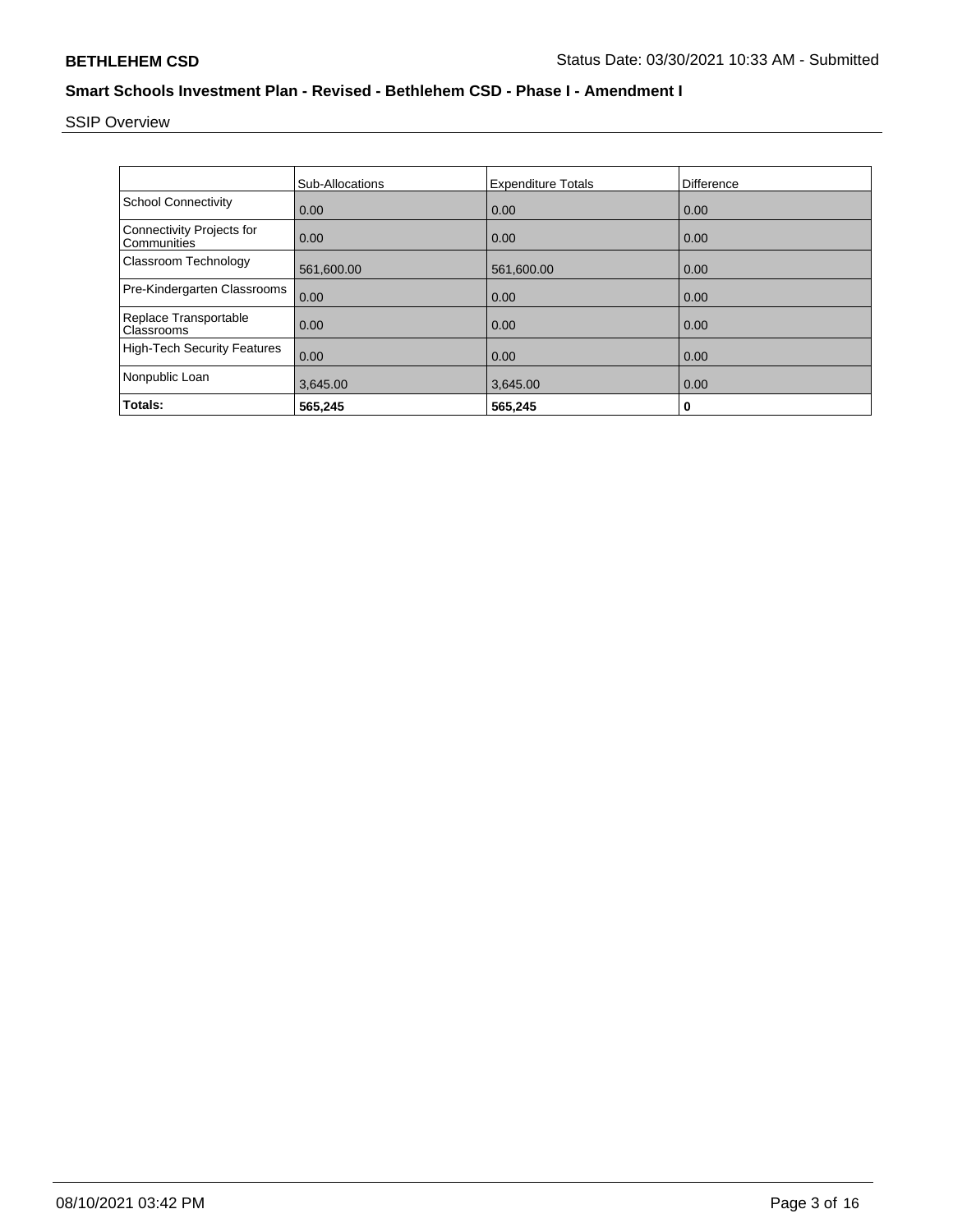SSIP Overview

|                                          | <b>Sub-Allocations</b> | <b>Expenditure Totals</b> | <b>Difference</b> |
|------------------------------------------|------------------------|---------------------------|-------------------|
| <b>School Connectivity</b>               | 0.00                   | 0.00                      | 0.00              |
| Connectivity Projects for<br>Communities | 0.00                   | 0.00                      | 0.00              |
| Classroom Technology                     | 561,600.00             | 561,600.00                | 0.00              |
| Pre-Kindergarten Classrooms              | 0.00                   | 0.00                      | 0.00              |
| Replace Transportable<br>Classrooms      | 0.00                   | 0.00                      | 0.00              |
| <b>High-Tech Security Features</b>       | 0.00                   | 0.00                      | 0.00              |
| Nonpublic Loan                           | 3,645.00               | 3,645.00                  | 0.00              |
| Totals:                                  | 565.245                | 565,245                   | 0                 |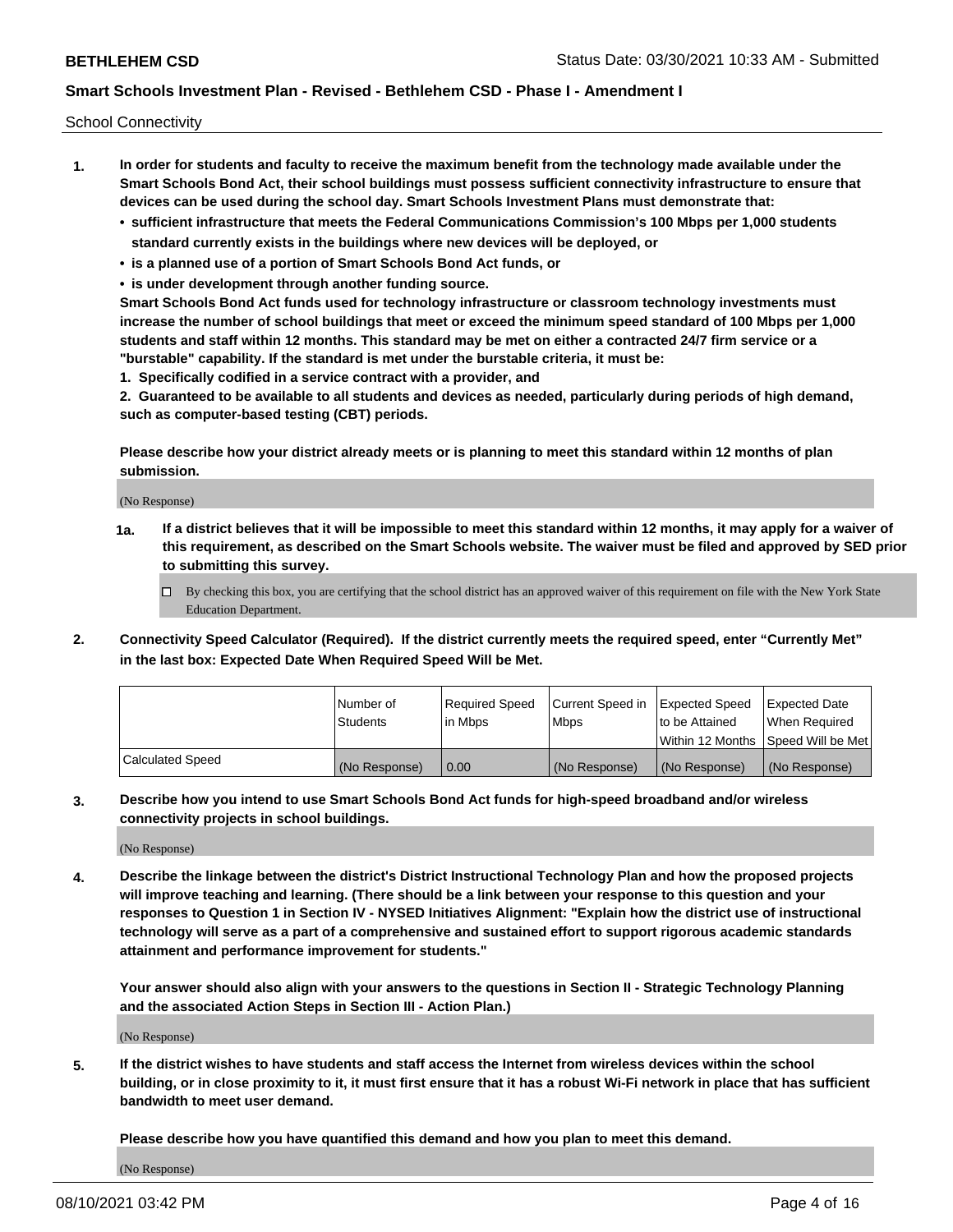School Connectivity

- **1. In order for students and faculty to receive the maximum benefit from the technology made available under the Smart Schools Bond Act, their school buildings must possess sufficient connectivity infrastructure to ensure that devices can be used during the school day. Smart Schools Investment Plans must demonstrate that:**
	- **• sufficient infrastructure that meets the Federal Communications Commission's 100 Mbps per 1,000 students standard currently exists in the buildings where new devices will be deployed, or**
	- **• is a planned use of a portion of Smart Schools Bond Act funds, or**
	- **• is under development through another funding source.**

**Smart Schools Bond Act funds used for technology infrastructure or classroom technology investments must increase the number of school buildings that meet or exceed the minimum speed standard of 100 Mbps per 1,000 students and staff within 12 months. This standard may be met on either a contracted 24/7 firm service or a "burstable" capability. If the standard is met under the burstable criteria, it must be:**

**1. Specifically codified in a service contract with a provider, and**

**2. Guaranteed to be available to all students and devices as needed, particularly during periods of high demand, such as computer-based testing (CBT) periods.**

**Please describe how your district already meets or is planning to meet this standard within 12 months of plan submission.**

(No Response)

**1a. If a district believes that it will be impossible to meet this standard within 12 months, it may apply for a waiver of this requirement, as described on the Smart Schools website. The waiver must be filed and approved by SED prior to submitting this survey.**

 $\Box$  By checking this box, you are certifying that the school district has an approved waiver of this requirement on file with the New York State Education Department.

**2. Connectivity Speed Calculator (Required). If the district currently meets the required speed, enter "Currently Met" in the last box: Expected Date When Required Speed Will be Met.**

|                  | l Number of     | Required Speed | Current Speed in | Expected Speed  | Expected Date                           |
|------------------|-----------------|----------------|------------------|-----------------|-----------------------------------------|
|                  | <b>Students</b> | In Mbps        | l Mbps           | to be Attained  | When Required                           |
|                  |                 |                |                  |                 | l Within 12 Months ISpeed Will be Met l |
| Calculated Speed | (No Response)   | 0.00           | (No Response)    | l (No Response) | l (No Response)                         |

**3. Describe how you intend to use Smart Schools Bond Act funds for high-speed broadband and/or wireless connectivity projects in school buildings.**

(No Response)

**4. Describe the linkage between the district's District Instructional Technology Plan and how the proposed projects will improve teaching and learning. (There should be a link between your response to this question and your responses to Question 1 in Section IV - NYSED Initiatives Alignment: "Explain how the district use of instructional technology will serve as a part of a comprehensive and sustained effort to support rigorous academic standards attainment and performance improvement for students."** 

**Your answer should also align with your answers to the questions in Section II - Strategic Technology Planning and the associated Action Steps in Section III - Action Plan.)**

(No Response)

**5. If the district wishes to have students and staff access the Internet from wireless devices within the school building, or in close proximity to it, it must first ensure that it has a robust Wi-Fi network in place that has sufficient bandwidth to meet user demand.**

**Please describe how you have quantified this demand and how you plan to meet this demand.**

(No Response)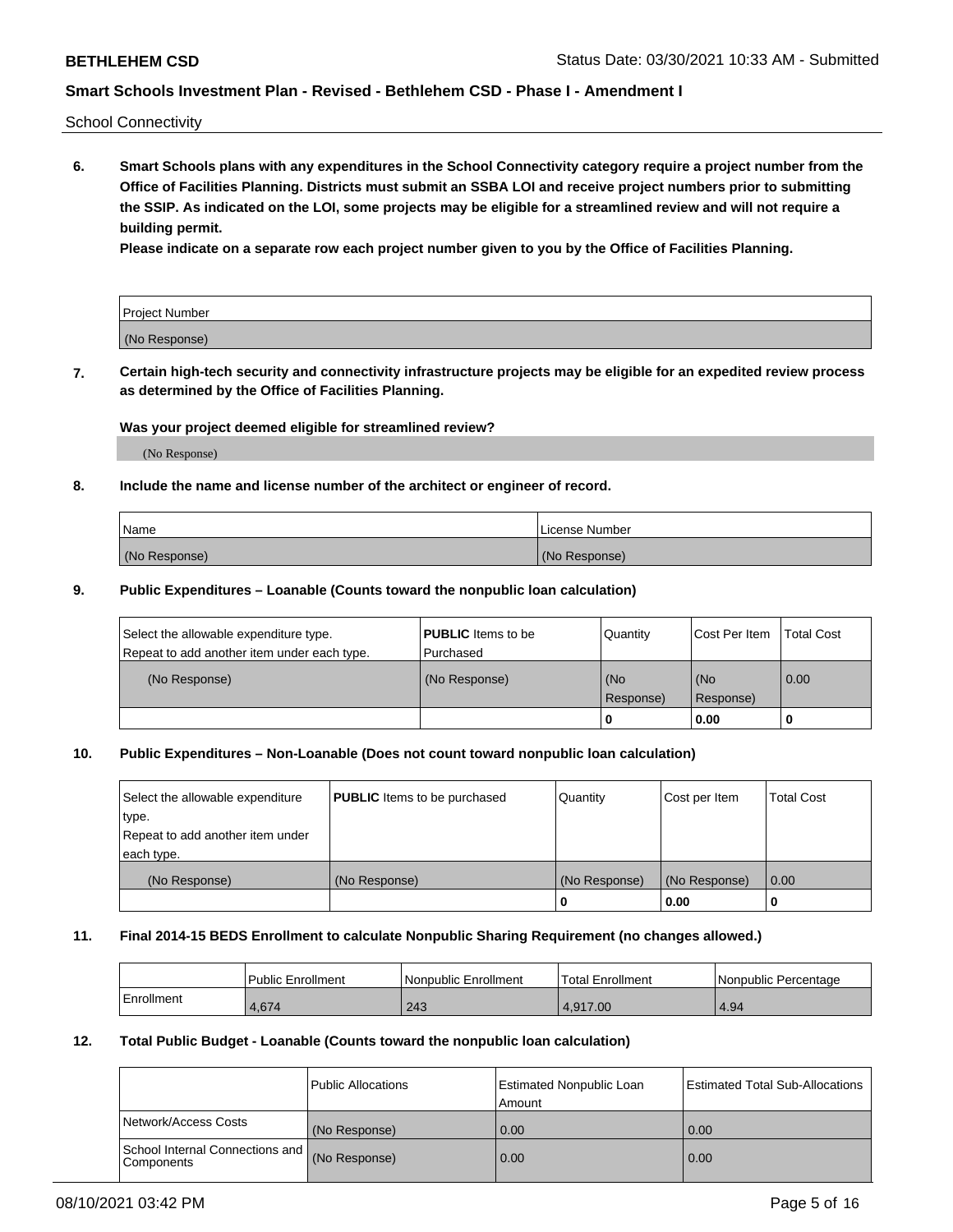School Connectivity

**6. Smart Schools plans with any expenditures in the School Connectivity category require a project number from the Office of Facilities Planning. Districts must submit an SSBA LOI and receive project numbers prior to submitting the SSIP. As indicated on the LOI, some projects may be eligible for a streamlined review and will not require a building permit.**

**Please indicate on a separate row each project number given to you by the Office of Facilities Planning.**

| Project Number |  |
|----------------|--|
| (No Response)  |  |

**7. Certain high-tech security and connectivity infrastructure projects may be eligible for an expedited review process as determined by the Office of Facilities Planning.**

### **Was your project deemed eligible for streamlined review?**

(No Response)

### **8. Include the name and license number of the architect or engineer of record.**

| Name          | License Number |
|---------------|----------------|
| (No Response) | (No Response)  |

### **9. Public Expenditures – Loanable (Counts toward the nonpublic loan calculation)**

| Select the allowable expenditure type.<br>Repeat to add another item under each type. | <b>PUBLIC</b> Items to be<br>l Purchased | Quantity         | l Cost Per Item  | <b>Total Cost</b> |
|---------------------------------------------------------------------------------------|------------------------------------------|------------------|------------------|-------------------|
| (No Response)                                                                         | (No Response)                            | (No<br>Response) | (No<br>Response) | 0.00              |
|                                                                                       |                                          | 0                | 0.00             |                   |

# **10. Public Expenditures – Non-Loanable (Does not count toward nonpublic loan calculation)**

| Select the allowable expenditure<br>type.<br>Repeat to add another item under<br>each type. | <b>PUBLIC</b> Items to be purchased | Quantity      | Cost per Item | <b>Total Cost</b> |
|---------------------------------------------------------------------------------------------|-------------------------------------|---------------|---------------|-------------------|
| (No Response)                                                                               | (No Response)                       | (No Response) | (No Response) | 0.00              |
|                                                                                             |                                     |               | 0.00          |                   |

#### **11. Final 2014-15 BEDS Enrollment to calculate Nonpublic Sharing Requirement (no changes allowed.)**

|            | Public Enrollment | Nonpublic Enrollment | 'Total Enrollment | l Nonpublic Percentage |
|------------|-------------------|----------------------|-------------------|------------------------|
| Enrollment | $+674$            | 243                  | 4.917.00          | 4.94                   |

#### **12. Total Public Budget - Loanable (Counts toward the nonpublic loan calculation)**

|                                                      | Public Allocations | <b>Estimated Nonpublic Loan</b><br>Amount | Estimated Total Sub-Allocations |
|------------------------------------------------------|--------------------|-------------------------------------------|---------------------------------|
| Network/Access Costs                                 | (No Response)      | 0.00                                      | 0.00                            |
| School Internal Connections and<br><b>Components</b> | (No Response)      | 0.00                                      | 0.00                            |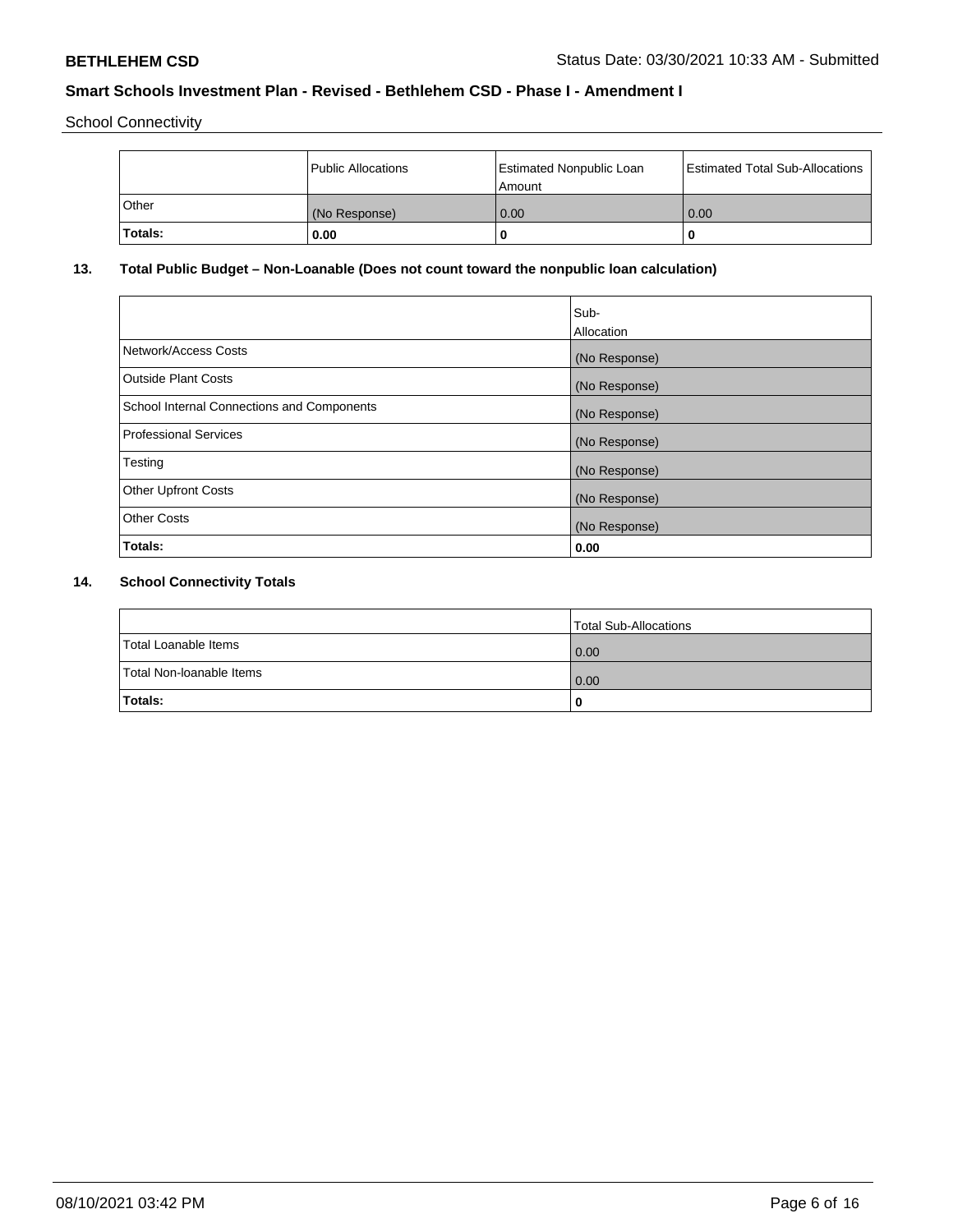School Connectivity

|              | <b>Public Allocations</b> | <b>Estimated Nonpublic Loan</b><br>l Amount | <b>Estimated Total Sub-Allocations</b> |
|--------------|---------------------------|---------------------------------------------|----------------------------------------|
| <b>Other</b> | (No Response)             | 0.00                                        | 0.00                                   |
| Totals:      | 0.00                      | 0                                           | ш                                      |

# **13. Total Public Budget – Non-Loanable (Does not count toward the nonpublic loan calculation)**

| Sub-<br>Allocation |
|--------------------|
| (No Response)      |
| (No Response)      |
| (No Response)      |
| (No Response)      |
| (No Response)      |
| (No Response)      |
| (No Response)      |
| 0.00               |
|                    |

# **14. School Connectivity Totals**

|                          | Total Sub-Allocations |
|--------------------------|-----------------------|
| Total Loanable Items     | 0.00                  |
| Total Non-Ioanable Items | 0.00                  |
| Totals:                  | 0                     |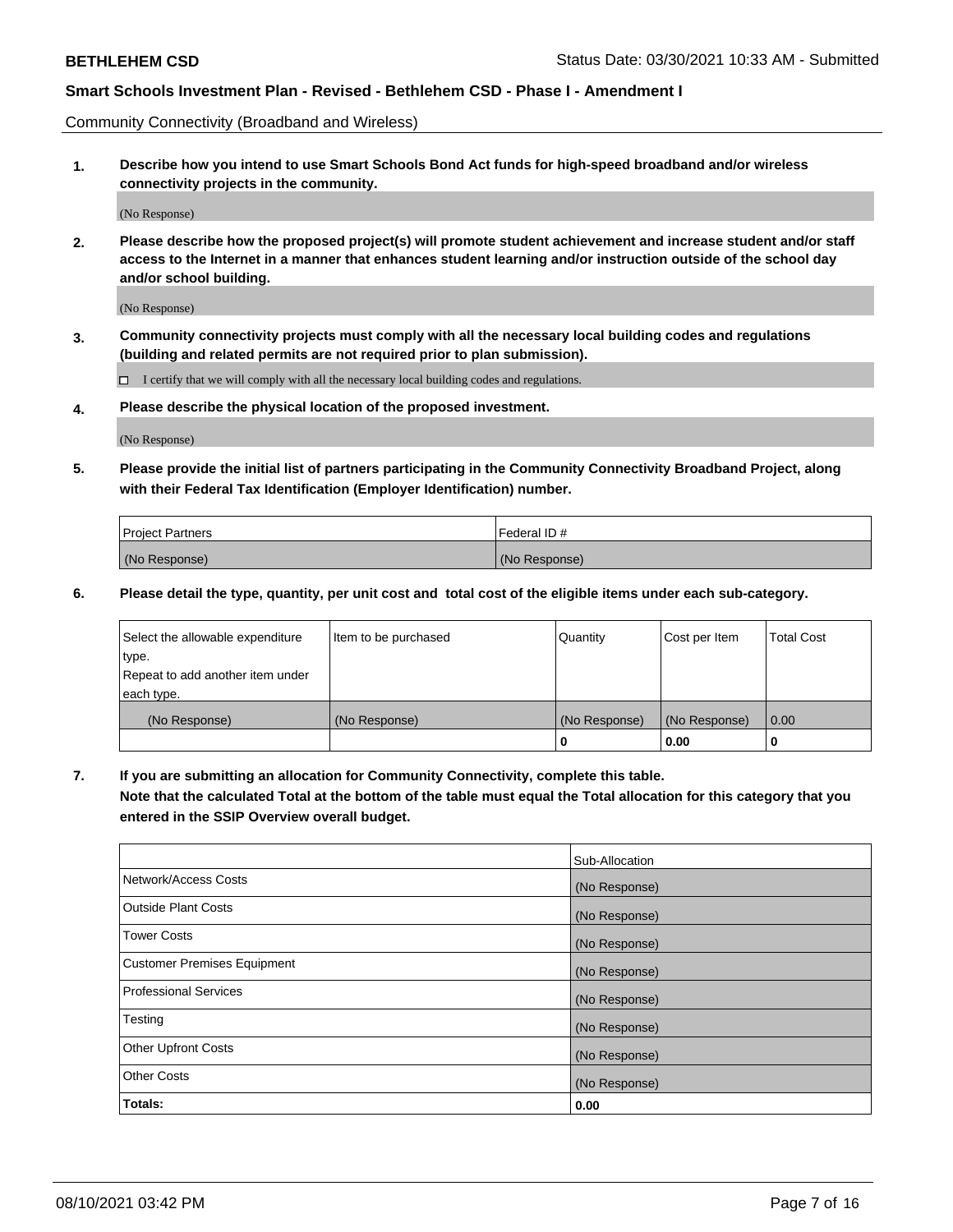Community Connectivity (Broadband and Wireless)

**1. Describe how you intend to use Smart Schools Bond Act funds for high-speed broadband and/or wireless connectivity projects in the community.**

(No Response)

**2. Please describe how the proposed project(s) will promote student achievement and increase student and/or staff access to the Internet in a manner that enhances student learning and/or instruction outside of the school day and/or school building.**

(No Response)

**3. Community connectivity projects must comply with all the necessary local building codes and regulations (building and related permits are not required prior to plan submission).**

 $\Box$  I certify that we will comply with all the necessary local building codes and regulations.

**4. Please describe the physical location of the proposed investment.**

(No Response)

**5. Please provide the initial list of partners participating in the Community Connectivity Broadband Project, along with their Federal Tax Identification (Employer Identification) number.**

| <b>Project Partners</b> | l Federal ID # |
|-------------------------|----------------|
| (No Response)           | (No Response)  |

**6. Please detail the type, quantity, per unit cost and total cost of the eligible items under each sub-category.**

| Select the allowable expenditure | Item to be purchased | Quantity      | Cost per Item | <b>Total Cost</b> |
|----------------------------------|----------------------|---------------|---------------|-------------------|
| type.                            |                      |               |               |                   |
| Repeat to add another item under |                      |               |               |                   |
| each type.                       |                      |               |               |                   |
| (No Response)                    | (No Response)        | (No Response) | (No Response) | 0.00              |
|                                  |                      | o             | 0.00          |                   |

**7. If you are submitting an allocation for Community Connectivity, complete this table.**

**Note that the calculated Total at the bottom of the table must equal the Total allocation for this category that you entered in the SSIP Overview overall budget.**

|                                    | Sub-Allocation |
|------------------------------------|----------------|
| Network/Access Costs               | (No Response)  |
| Outside Plant Costs                | (No Response)  |
| <b>Tower Costs</b>                 | (No Response)  |
| <b>Customer Premises Equipment</b> | (No Response)  |
| <b>Professional Services</b>       | (No Response)  |
| Testing                            | (No Response)  |
| <b>Other Upfront Costs</b>         | (No Response)  |
| <b>Other Costs</b>                 | (No Response)  |
| Totals:                            | 0.00           |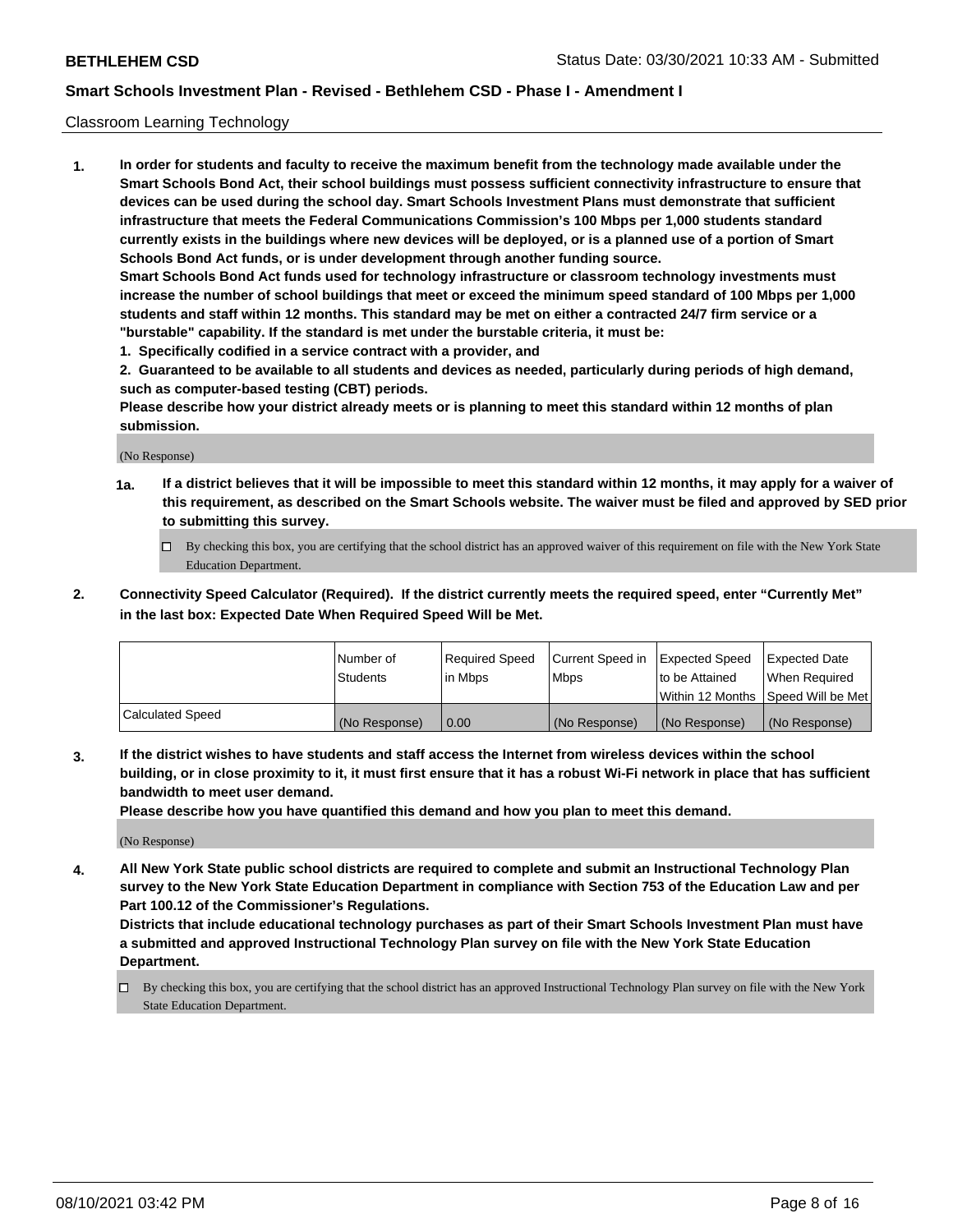### Classroom Learning Technology

**1. In order for students and faculty to receive the maximum benefit from the technology made available under the Smart Schools Bond Act, their school buildings must possess sufficient connectivity infrastructure to ensure that devices can be used during the school day. Smart Schools Investment Plans must demonstrate that sufficient infrastructure that meets the Federal Communications Commission's 100 Mbps per 1,000 students standard currently exists in the buildings where new devices will be deployed, or is a planned use of a portion of Smart Schools Bond Act funds, or is under development through another funding source. Smart Schools Bond Act funds used for technology infrastructure or classroom technology investments must increase the number of school buildings that meet or exceed the minimum speed standard of 100 Mbps per 1,000 students and staff within 12 months. This standard may be met on either a contracted 24/7 firm service or a**

**"burstable" capability. If the standard is met under the burstable criteria, it must be: 1. Specifically codified in a service contract with a provider, and**

**2. Guaranteed to be available to all students and devices as needed, particularly during periods of high demand, such as computer-based testing (CBT) periods.**

**Please describe how your district already meets or is planning to meet this standard within 12 months of plan submission.**

(No Response)

- **1a. If a district believes that it will be impossible to meet this standard within 12 months, it may apply for a waiver of this requirement, as described on the Smart Schools website. The waiver must be filed and approved by SED prior to submitting this survey.**
	- By checking this box, you are certifying that the school district has an approved waiver of this requirement on file with the New York State Education Department.
- **2. Connectivity Speed Calculator (Required). If the district currently meets the required speed, enter "Currently Met" in the last box: Expected Date When Required Speed Will be Met.**

|                  | l Number of     | Required Speed | Current Speed in | <b>Expected Speed</b> | <b>Expected Date</b>                |
|------------------|-----------------|----------------|------------------|-----------------------|-------------------------------------|
|                  | <b>Students</b> | l in Mbps      | l Mbps           | to be Attained        | When Required                       |
|                  |                 |                |                  |                       | Within 12 Months  Speed Will be Met |
| Calculated Speed | (No Response)   | 0.00           | (No Response)    | l (No Response)       | (No Response)                       |

**3. If the district wishes to have students and staff access the Internet from wireless devices within the school building, or in close proximity to it, it must first ensure that it has a robust Wi-Fi network in place that has sufficient bandwidth to meet user demand.**

**Please describe how you have quantified this demand and how you plan to meet this demand.**

(No Response)

**4. All New York State public school districts are required to complete and submit an Instructional Technology Plan survey to the New York State Education Department in compliance with Section 753 of the Education Law and per Part 100.12 of the Commissioner's Regulations.**

**Districts that include educational technology purchases as part of their Smart Schools Investment Plan must have a submitted and approved Instructional Technology Plan survey on file with the New York State Education Department.**

By checking this box, you are certifying that the school district has an approved Instructional Technology Plan survey on file with the New York State Education Department.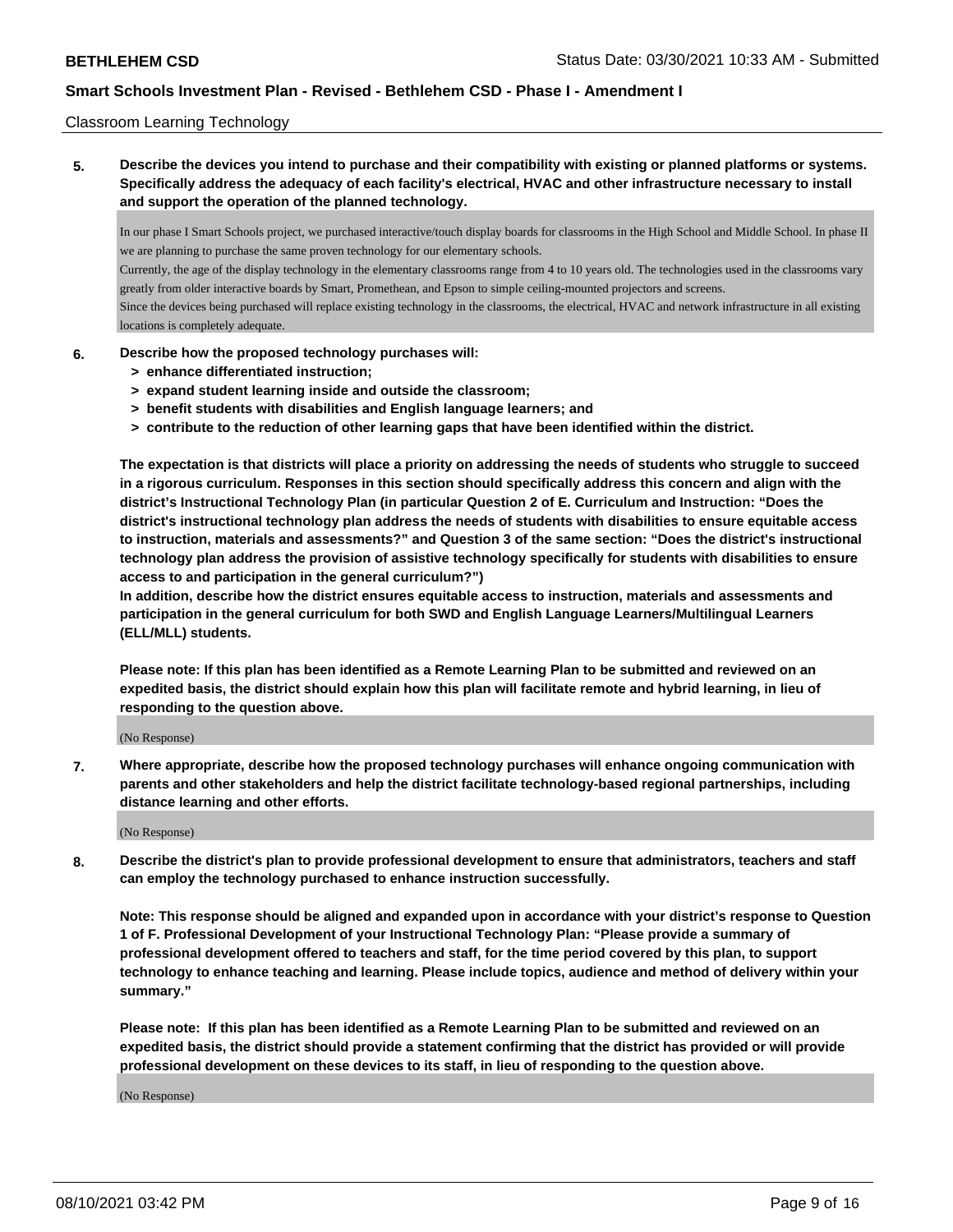#### Classroom Learning Technology

**5. Describe the devices you intend to purchase and their compatibility with existing or planned platforms or systems. Specifically address the adequacy of each facility's electrical, HVAC and other infrastructure necessary to install and support the operation of the planned technology.**

In our phase I Smart Schools project, we purchased interactive/touch display boards for classrooms in the High School and Middle School. In phase II we are planning to purchase the same proven technology for our elementary schools.

Currently, the age of the display technology in the elementary classrooms range from 4 to 10 years old. The technologies used in the classrooms vary greatly from older interactive boards by Smart, Promethean, and Epson to simple ceiling-mounted projectors and screens.

Since the devices being purchased will replace existing technology in the classrooms, the electrical, HVAC and network infrastructure in all existing locations is completely adequate.

#### **6. Describe how the proposed technology purchases will:**

- **> enhance differentiated instruction;**
- **> expand student learning inside and outside the classroom;**
- **> benefit students with disabilities and English language learners; and**
- **> contribute to the reduction of other learning gaps that have been identified within the district.**

**The expectation is that districts will place a priority on addressing the needs of students who struggle to succeed in a rigorous curriculum. Responses in this section should specifically address this concern and align with the district's Instructional Technology Plan (in particular Question 2 of E. Curriculum and Instruction: "Does the district's instructional technology plan address the needs of students with disabilities to ensure equitable access to instruction, materials and assessments?" and Question 3 of the same section: "Does the district's instructional technology plan address the provision of assistive technology specifically for students with disabilities to ensure access to and participation in the general curriculum?")**

**In addition, describe how the district ensures equitable access to instruction, materials and assessments and participation in the general curriculum for both SWD and English Language Learners/Multilingual Learners (ELL/MLL) students.**

**Please note: If this plan has been identified as a Remote Learning Plan to be submitted and reviewed on an expedited basis, the district should explain how this plan will facilitate remote and hybrid learning, in lieu of responding to the question above.**

(No Response)

**7. Where appropriate, describe how the proposed technology purchases will enhance ongoing communication with parents and other stakeholders and help the district facilitate technology-based regional partnerships, including distance learning and other efforts.**

(No Response)

**8. Describe the district's plan to provide professional development to ensure that administrators, teachers and staff can employ the technology purchased to enhance instruction successfully.**

**Note: This response should be aligned and expanded upon in accordance with your district's response to Question 1 of F. Professional Development of your Instructional Technology Plan: "Please provide a summary of professional development offered to teachers and staff, for the time period covered by this plan, to support technology to enhance teaching and learning. Please include topics, audience and method of delivery within your summary."**

**Please note: If this plan has been identified as a Remote Learning Plan to be submitted and reviewed on an expedited basis, the district should provide a statement confirming that the district has provided or will provide professional development on these devices to its staff, in lieu of responding to the question above.**

(No Response)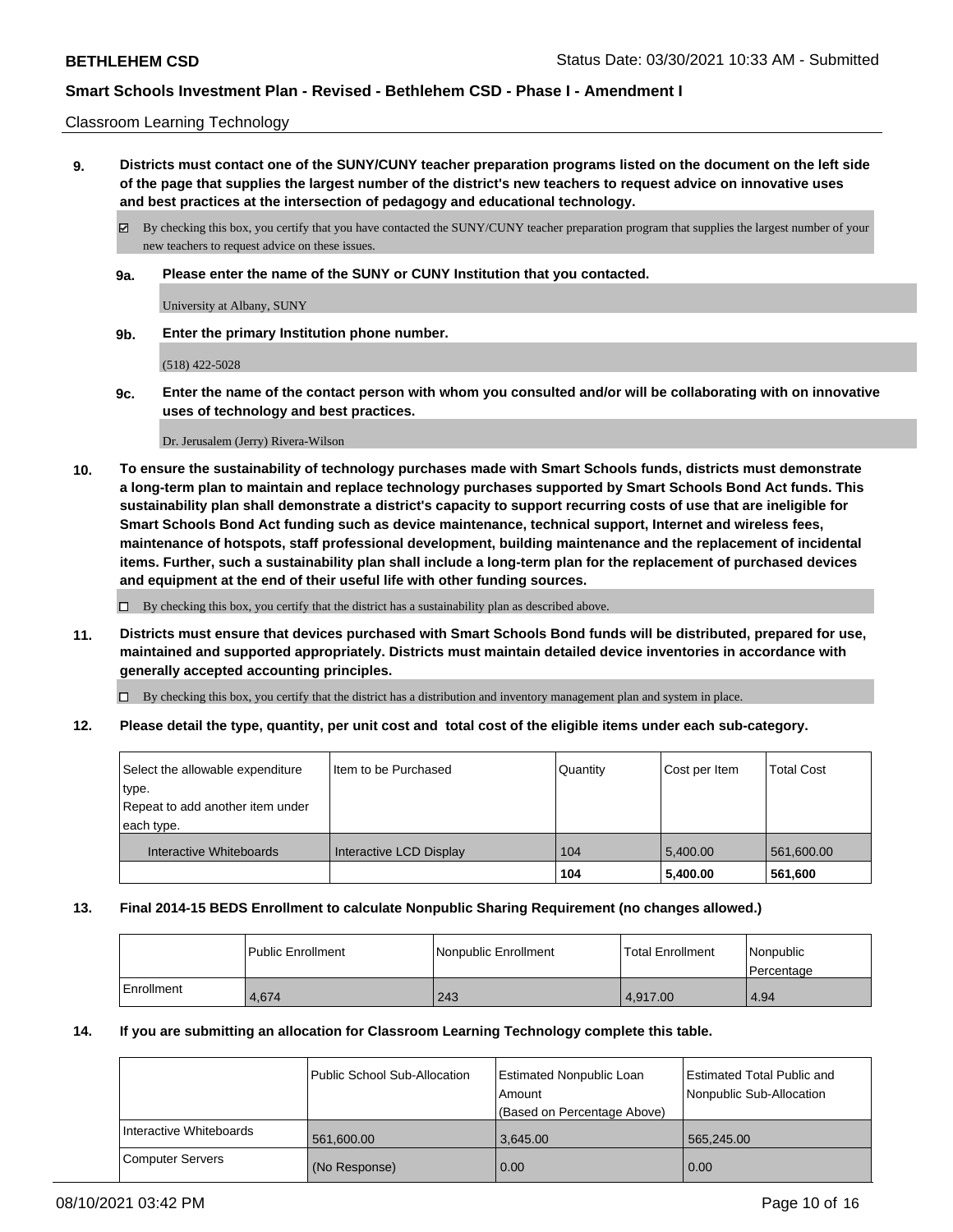#### Classroom Learning Technology

**9. Districts must contact one of the SUNY/CUNY teacher preparation programs listed on the document on the left side of the page that supplies the largest number of the district's new teachers to request advice on innovative uses and best practices at the intersection of pedagogy and educational technology.**

By checking this box, you certify that you have contacted the SUNY/CUNY teacher preparation program that supplies the largest number of your new teachers to request advice on these issues.

**9a. Please enter the name of the SUNY or CUNY Institution that you contacted.**

University at Albany, SUNY

**9b. Enter the primary Institution phone number.**

(518) 422-5028

**9c. Enter the name of the contact person with whom you consulted and/or will be collaborating with on innovative uses of technology and best practices.**

Dr. Jerusalem (Jerry) Rivera-Wilson

**10. To ensure the sustainability of technology purchases made with Smart Schools funds, districts must demonstrate a long-term plan to maintain and replace technology purchases supported by Smart Schools Bond Act funds. This sustainability plan shall demonstrate a district's capacity to support recurring costs of use that are ineligible for Smart Schools Bond Act funding such as device maintenance, technical support, Internet and wireless fees, maintenance of hotspots, staff professional development, building maintenance and the replacement of incidental items. Further, such a sustainability plan shall include a long-term plan for the replacement of purchased devices and equipment at the end of their useful life with other funding sources.**

 $\Box$  By checking this box, you certify that the district has a sustainability plan as described above.

**11. Districts must ensure that devices purchased with Smart Schools Bond funds will be distributed, prepared for use, maintained and supported appropriately. Districts must maintain detailed device inventories in accordance with generally accepted accounting principles.**

By checking this box, you certify that the district has a distribution and inventory management plan and system in place.

**12. Please detail the type, quantity, per unit cost and total cost of the eligible items under each sub-category.**

| Select the allowable expenditure<br>type.<br>Repeat to add another item under | Iltem to be Purchased   | Quantity | Cost per Item | <b>Total Cost</b> |
|-------------------------------------------------------------------------------|-------------------------|----------|---------------|-------------------|
| each type.<br>Interactive Whiteboards                                         | Interactive LCD Display | 104      | 5.400.00      | 561,600.00        |
|                                                                               |                         | 104      | 5,400.00      | 561,600           |

### **13. Final 2014-15 BEDS Enrollment to calculate Nonpublic Sharing Requirement (no changes allowed.)**

|            | <b>Public Enrollment</b> | l Nonpublic Enrollment | <b>Total Enrollment</b> | Nonpublic<br>l Percentage |
|------------|--------------------------|------------------------|-------------------------|---------------------------|
| Enrollment | 4,674                    | 243                    | 4.917.00                | 4.94                      |

### **14. If you are submitting an allocation for Classroom Learning Technology complete this table.**

|                         | Public School Sub-Allocation | Estimated Nonpublic Loan    | <b>Estimated Total Public and</b> |
|-------------------------|------------------------------|-----------------------------|-----------------------------------|
|                         |                              | Amount                      | Nonpublic Sub-Allocation          |
|                         |                              | (Based on Percentage Above) |                                   |
| Interactive Whiteboards | 561,600.00                   | 3.645.00                    | 565.245.00                        |
| <b>Computer Servers</b> | (No Response)                | 0.00                        | 0.00                              |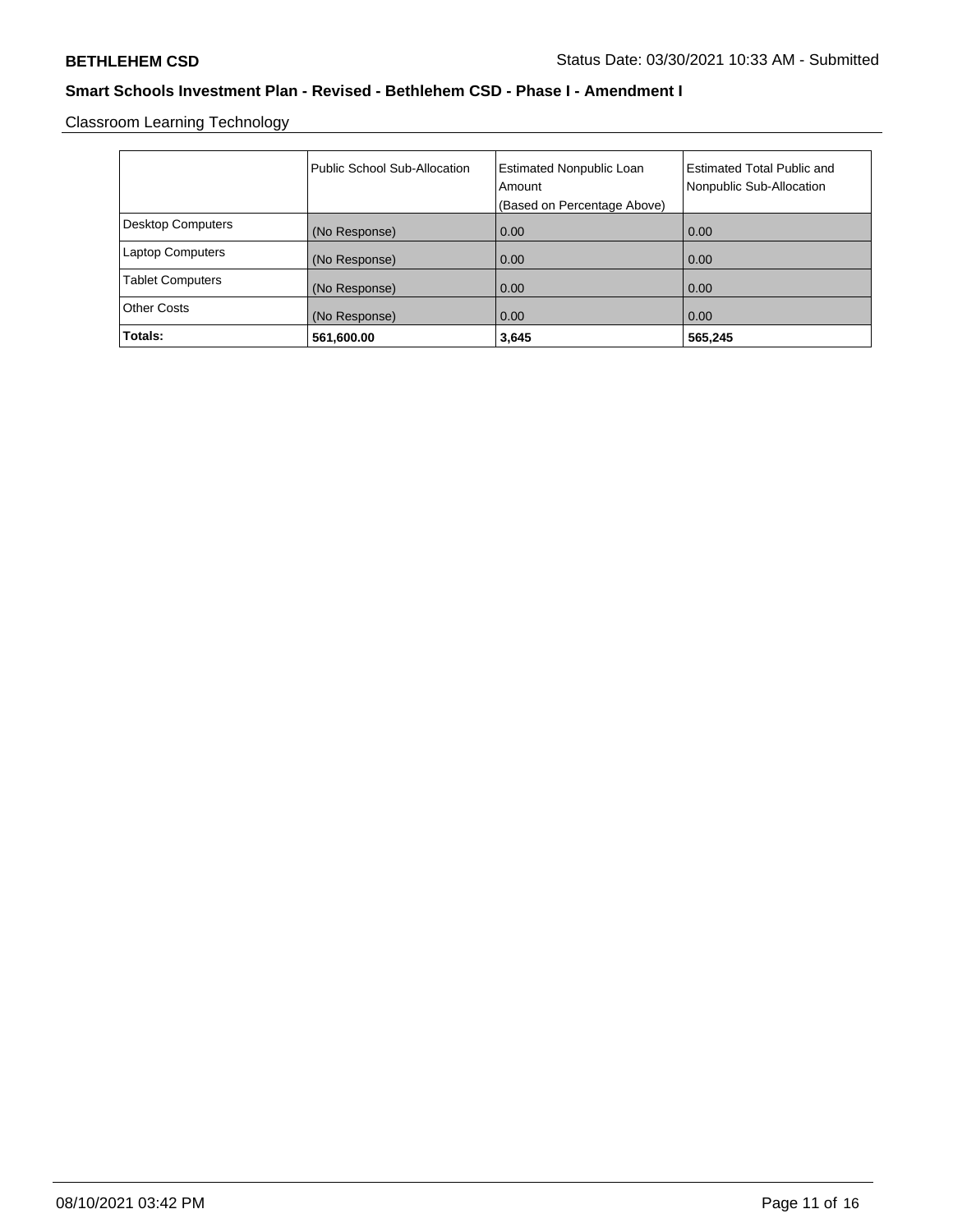Classroom Learning Technology

|                          | Public School Sub-Allocation | <b>Estimated Nonpublic Loan</b><br>Amount | <b>Estimated Total Public and</b><br>Nonpublic Sub-Allocation |
|--------------------------|------------------------------|-------------------------------------------|---------------------------------------------------------------|
|                          |                              | (Based on Percentage Above)               |                                                               |
| <b>Desktop Computers</b> | (No Response)                | 0.00                                      | 0.00                                                          |
| <b>Laptop Computers</b>  | (No Response)                | 0.00                                      | 0.00                                                          |
| <b>Tablet Computers</b>  | (No Response)                | 0.00                                      | 0.00                                                          |
| <b>Other Costs</b>       | (No Response)                | 0.00                                      | 0.00                                                          |
| Totals:                  | 561,600.00                   | 3,645                                     | 565,245                                                       |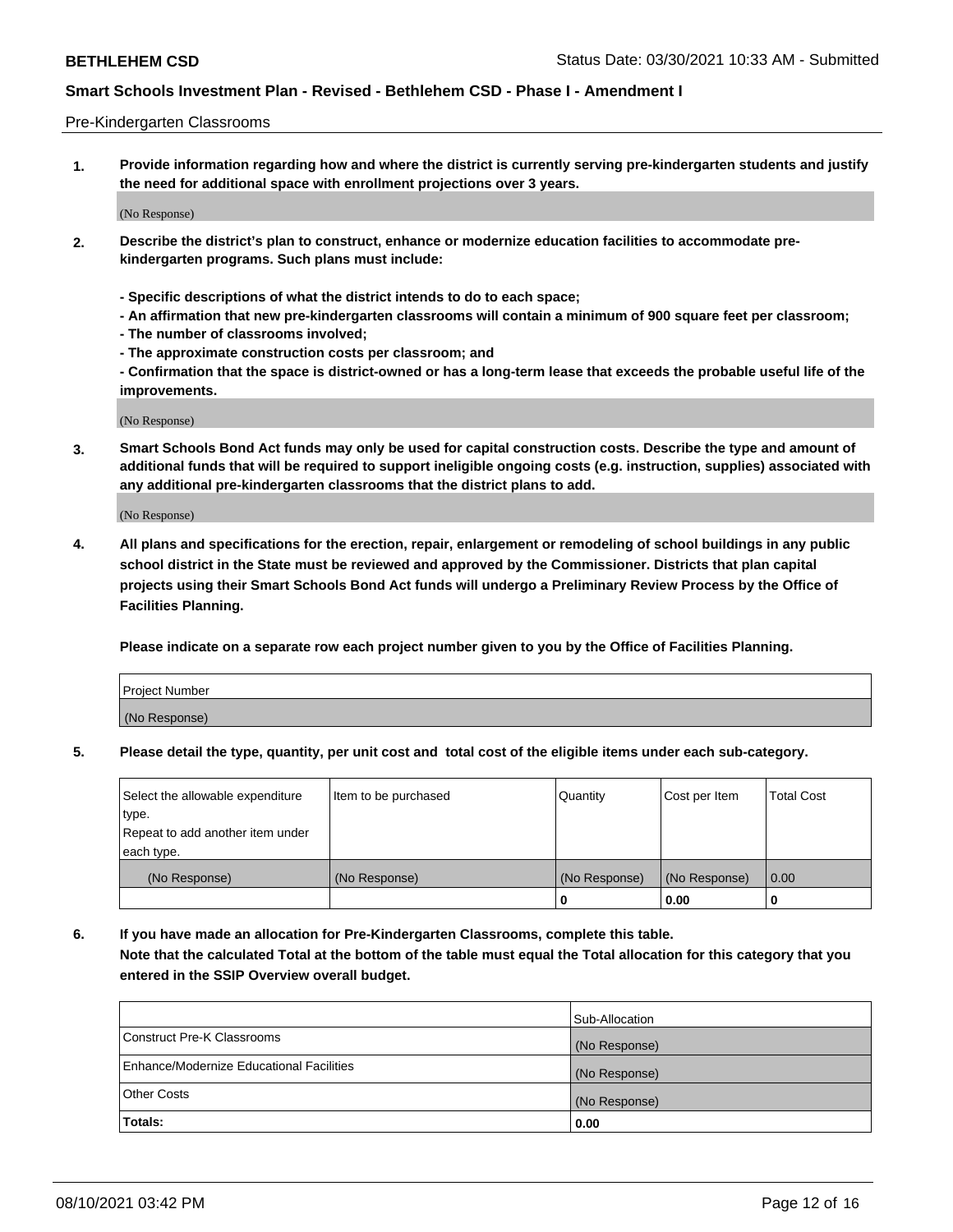#### Pre-Kindergarten Classrooms

**1. Provide information regarding how and where the district is currently serving pre-kindergarten students and justify the need for additional space with enrollment projections over 3 years.**

(No Response)

- **2. Describe the district's plan to construct, enhance or modernize education facilities to accommodate prekindergarten programs. Such plans must include:**
	- **Specific descriptions of what the district intends to do to each space;**
	- **An affirmation that new pre-kindergarten classrooms will contain a minimum of 900 square feet per classroom;**
	- **The number of classrooms involved;**
	- **The approximate construction costs per classroom; and**
	- **Confirmation that the space is district-owned or has a long-term lease that exceeds the probable useful life of the improvements.**

(No Response)

**3. Smart Schools Bond Act funds may only be used for capital construction costs. Describe the type and amount of additional funds that will be required to support ineligible ongoing costs (e.g. instruction, supplies) associated with any additional pre-kindergarten classrooms that the district plans to add.**

(No Response)

**4. All plans and specifications for the erection, repair, enlargement or remodeling of school buildings in any public school district in the State must be reviewed and approved by the Commissioner. Districts that plan capital projects using their Smart Schools Bond Act funds will undergo a Preliminary Review Process by the Office of Facilities Planning.**

**Please indicate on a separate row each project number given to you by the Office of Facilities Planning.**

| Project Number |  |
|----------------|--|
| (No Response)  |  |
|                |  |

**5. Please detail the type, quantity, per unit cost and total cost of the eligible items under each sub-category.**

| Select the allowable expenditure | Item to be purchased | Quantity      | Cost per Item | <b>Total Cost</b> |
|----------------------------------|----------------------|---------------|---------------|-------------------|
| type.                            |                      |               |               |                   |
| Repeat to add another item under |                      |               |               |                   |
| each type.                       |                      |               |               |                   |
| (No Response)                    | (No Response)        | (No Response) | (No Response) | 0.00              |
|                                  |                      | U             | 0.00          |                   |

**6. If you have made an allocation for Pre-Kindergarten Classrooms, complete this table. Note that the calculated Total at the bottom of the table must equal the Total allocation for this category that you entered in the SSIP Overview overall budget.**

|                                          | Sub-Allocation |
|------------------------------------------|----------------|
| Construct Pre-K Classrooms               | (No Response)  |
| Enhance/Modernize Educational Facilities | (No Response)  |
| <b>Other Costs</b>                       | (No Response)  |
| Totals:                                  | 0.00           |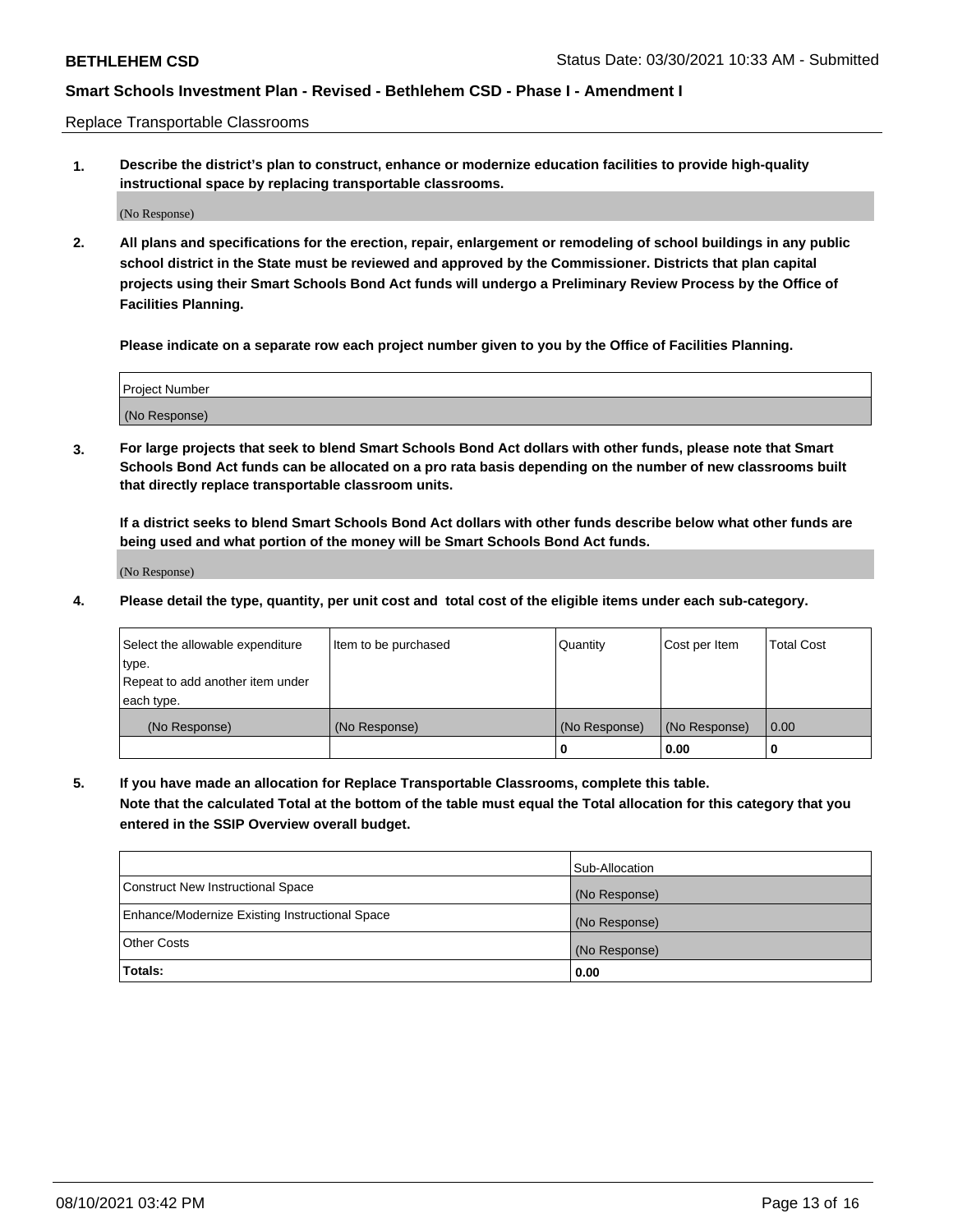Replace Transportable Classrooms

**1. Describe the district's plan to construct, enhance or modernize education facilities to provide high-quality instructional space by replacing transportable classrooms.**

(No Response)

**2. All plans and specifications for the erection, repair, enlargement or remodeling of school buildings in any public school district in the State must be reviewed and approved by the Commissioner. Districts that plan capital projects using their Smart Schools Bond Act funds will undergo a Preliminary Review Process by the Office of Facilities Planning.**

**Please indicate on a separate row each project number given to you by the Office of Facilities Planning.**

| Project Number |  |
|----------------|--|
|                |  |
|                |  |
|                |  |
|                |  |
| (No Response)  |  |
|                |  |
|                |  |
|                |  |

**3. For large projects that seek to blend Smart Schools Bond Act dollars with other funds, please note that Smart Schools Bond Act funds can be allocated on a pro rata basis depending on the number of new classrooms built that directly replace transportable classroom units.**

**If a district seeks to blend Smart Schools Bond Act dollars with other funds describe below what other funds are being used and what portion of the money will be Smart Schools Bond Act funds.**

(No Response)

**4. Please detail the type, quantity, per unit cost and total cost of the eligible items under each sub-category.**

| Select the allowable expenditure<br>∣type.     | Item to be purchased<br>Quantity |               | Cost per Item | Total Cost |
|------------------------------------------------|----------------------------------|---------------|---------------|------------|
| Repeat to add another item under<br>each type. |                                  |               |               |            |
| (No Response)                                  | (No Response)                    | (No Response) | (No Response) | 0.00       |
|                                                |                                  | u             | 0.00          |            |

**5. If you have made an allocation for Replace Transportable Classrooms, complete this table. Note that the calculated Total at the bottom of the table must equal the Total allocation for this category that you entered in the SSIP Overview overall budget.**

|                                                | Sub-Allocation |
|------------------------------------------------|----------------|
| Construct New Instructional Space              | (No Response)  |
| Enhance/Modernize Existing Instructional Space | (No Response)  |
| Other Costs                                    | (No Response)  |
| Totals:                                        | 0.00           |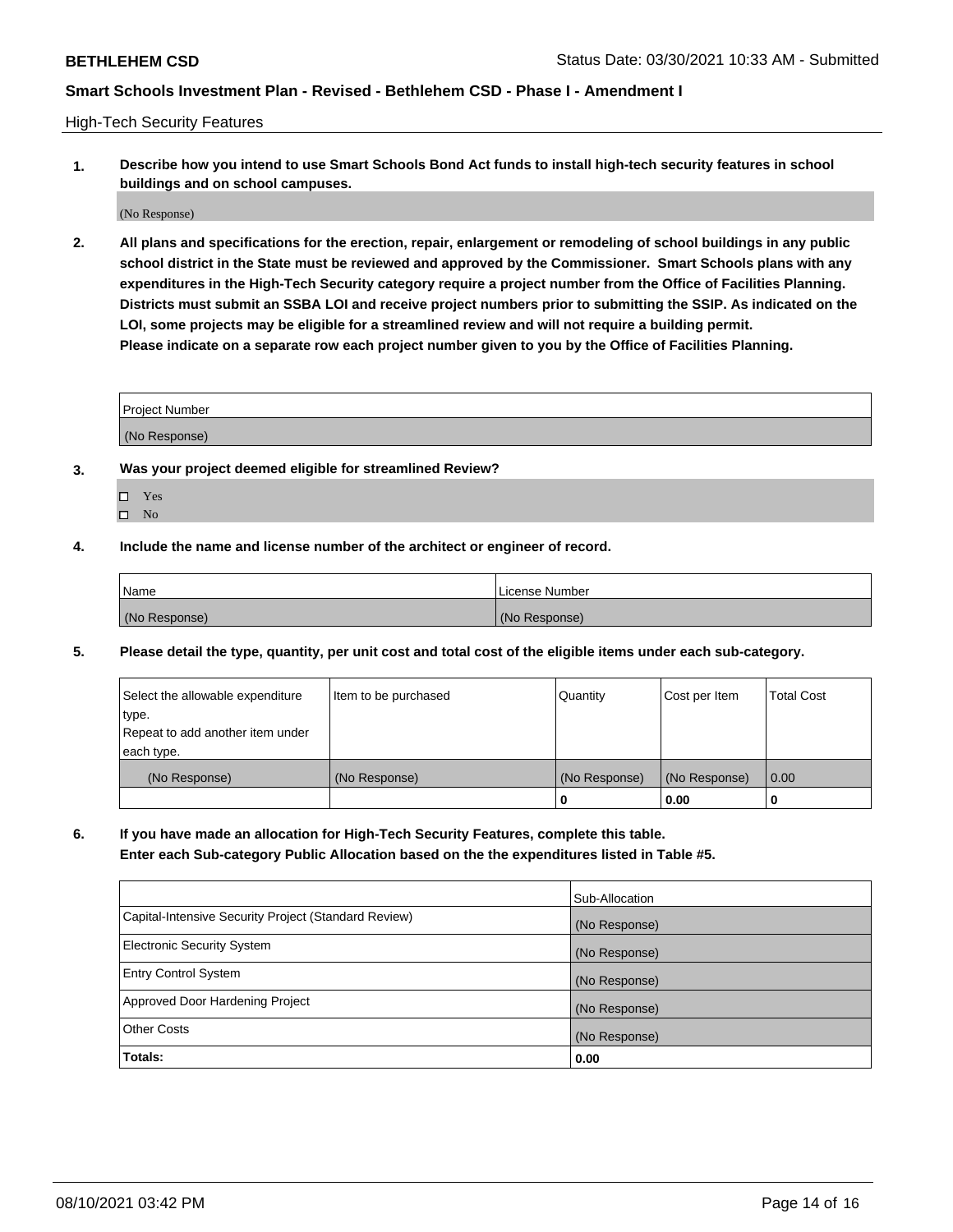High-Tech Security Features

**1. Describe how you intend to use Smart Schools Bond Act funds to install high-tech security features in school buildings and on school campuses.**

(No Response)

**2. All plans and specifications for the erection, repair, enlargement or remodeling of school buildings in any public school district in the State must be reviewed and approved by the Commissioner. Smart Schools plans with any expenditures in the High-Tech Security category require a project number from the Office of Facilities Planning. Districts must submit an SSBA LOI and receive project numbers prior to submitting the SSIP. As indicated on the LOI, some projects may be eligible for a streamlined review and will not require a building permit. Please indicate on a separate row each project number given to you by the Office of Facilities Planning.**

| <b>Project Number</b> |  |
|-----------------------|--|
| (No Response)         |  |

- **3. Was your project deemed eligible for streamlined Review?**
	- Yes
	- $\hfill \square$  No
- **4. Include the name and license number of the architect or engineer of record.**

| Name          | License Number |
|---------------|----------------|
| (No Response) | (No Response)  |

**5. Please detail the type, quantity, per unit cost and total cost of the eligible items under each sub-category.**

| Select the allowable expenditure | Item to be purchased | Quantity      | Cost per Item | <b>Total Cost</b> |
|----------------------------------|----------------------|---------------|---------------|-------------------|
| type.                            |                      |               |               |                   |
| Repeat to add another item under |                      |               |               |                   |
| each type.                       |                      |               |               |                   |
| (No Response)                    | (No Response)        | (No Response) | (No Response) | 0.00              |
|                                  |                      | 0             | 0.00          |                   |

**6. If you have made an allocation for High-Tech Security Features, complete this table.**

**Enter each Sub-category Public Allocation based on the the expenditures listed in Table #5.**

|                                                      | Sub-Allocation |
|------------------------------------------------------|----------------|
| Capital-Intensive Security Project (Standard Review) | (No Response)  |
| <b>Electronic Security System</b>                    | (No Response)  |
| <b>Entry Control System</b>                          | (No Response)  |
| Approved Door Hardening Project                      | (No Response)  |
| <b>Other Costs</b>                                   | (No Response)  |
| Totals:                                              | 0.00           |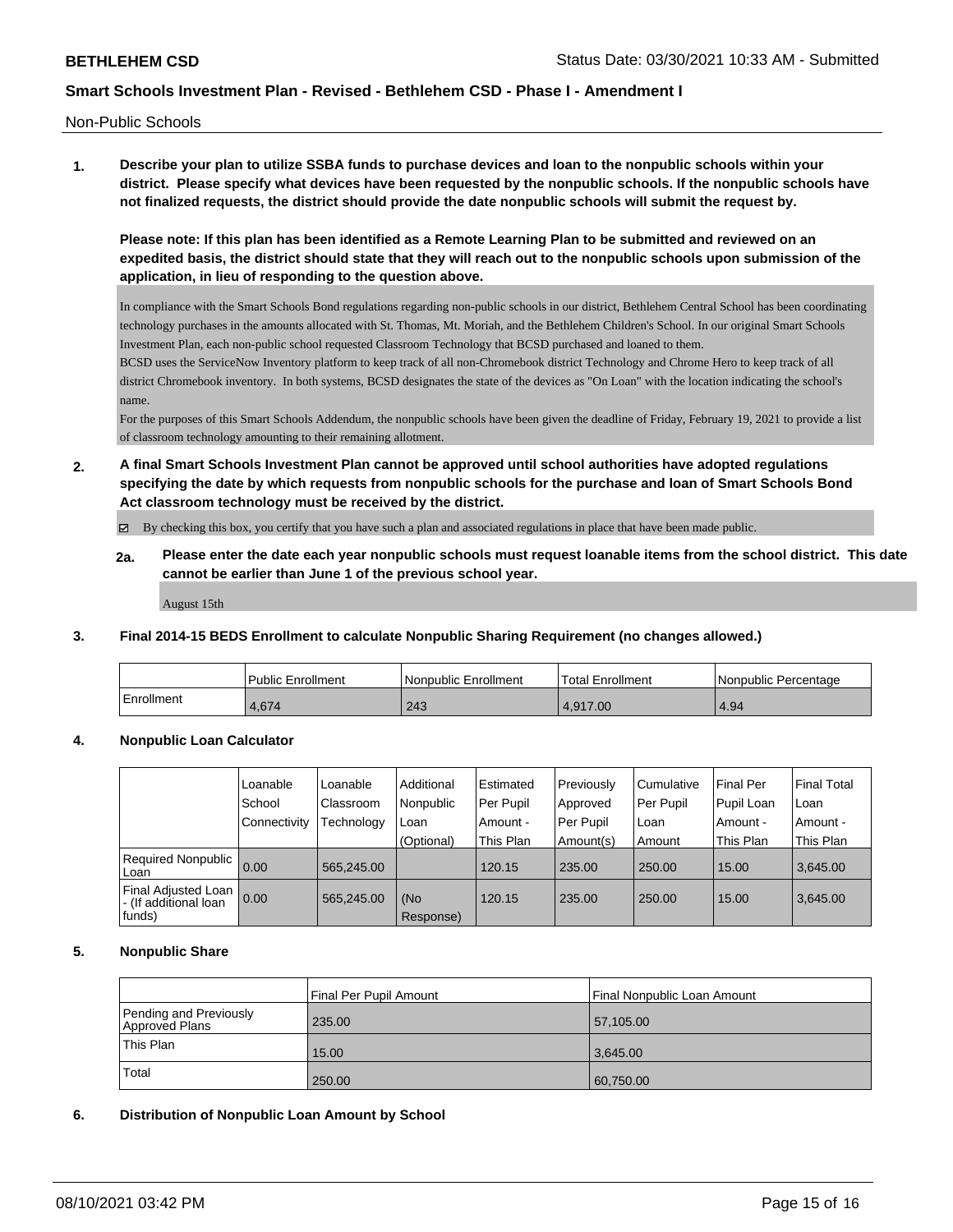Non-Public Schools

**1. Describe your plan to utilize SSBA funds to purchase devices and loan to the nonpublic schools within your district. Please specify what devices have been requested by the nonpublic schools. If the nonpublic schools have not finalized requests, the district should provide the date nonpublic schools will submit the request by.**

**Please note: If this plan has been identified as a Remote Learning Plan to be submitted and reviewed on an expedited basis, the district should state that they will reach out to the nonpublic schools upon submission of the application, in lieu of responding to the question above.**

In compliance with the Smart Schools Bond regulations regarding non-public schools in our district, Bethlehem Central School has been coordinating technology purchases in the amounts allocated with St. Thomas, Mt. Moriah, and the Bethlehem Children's School. In our original Smart Schools Investment Plan, each non-public school requested Classroom Technology that BCSD purchased and loaned to them.

BCSD uses the ServiceNow Inventory platform to keep track of all non-Chromebook district Technology and Chrome Hero to keep track of all district Chromebook inventory. In both systems, BCSD designates the state of the devices as "On Loan" with the location indicating the school's name.

For the purposes of this Smart Schools Addendum, the nonpublic schools have been given the deadline of Friday, February 19, 2021 to provide a list of classroom technology amounting to their remaining allotment.

**2. A final Smart Schools Investment Plan cannot be approved until school authorities have adopted regulations specifying the date by which requests from nonpublic schools for the purchase and loan of Smart Schools Bond Act classroom technology must be received by the district.**

By checking this box, you certify that you have such a plan and associated regulations in place that have been made public.

**2a. Please enter the date each year nonpublic schools must request loanable items from the school district. This date cannot be earlier than June 1 of the previous school year.**

August 15th

### **3. Final 2014-15 BEDS Enrollment to calculate Nonpublic Sharing Requirement (no changes allowed.)**

|            | l Public Enrollment | l Nonpublic Enrollment | Total Enrollment | Nonpublic Percentage |
|------------|---------------------|------------------------|------------------|----------------------|
| Enrollment | $+, 674$            | 243                    | 4.917.00         | 4.94                 |

### **4. Nonpublic Loan Calculator**

|                                                        | Loanable     | Loanable         | Additional       | Estimated   | Previously | Cumulative | <b>Final Per</b> | <b>Final Total</b> |
|--------------------------------------------------------|--------------|------------------|------------------|-------------|------------|------------|------------------|--------------------|
|                                                        | School       | <b>Classroom</b> | Nonpublic        | l Per Pupil | Approved   | Per Pupil  | Pupil Loan       | Loan               |
|                                                        | Connectivity | Technology       | Loan             | Amount -    | Per Pupil  | Loan       | Amount -         | Amount -           |
|                                                        |              |                  | (Optional)       | This Plan   | Amount(s)  | Amount     | This Plan        | This Plan          |
| Required Nonpublic  <br>Loan                           | 0.00         | 565.245.00       |                  | 120.15      | 235.00     | 250.00     | 15.00            | 3,645.00           |
| Final Adjusted Loan<br>- (If additional loan<br>funds) | 0.00         | 565.245.00       | (No<br>Response) | 120.15      | 235.00     | 250.00     | 15.00            | 3.645.00           |

### **5. Nonpublic Share**

|                                          | Final Per Pupil Amount<br>Final Nonpublic Loan Amount |           |  |
|------------------------------------------|-------------------------------------------------------|-----------|--|
| Pending and Previously<br>Approved Plans | 235.00                                                | 57,105.00 |  |
| This Plan                                | 15.00                                                 | 3.645.00  |  |
| Total                                    | 250.00                                                | 60,750.00 |  |

### **6. Distribution of Nonpublic Loan Amount by School**